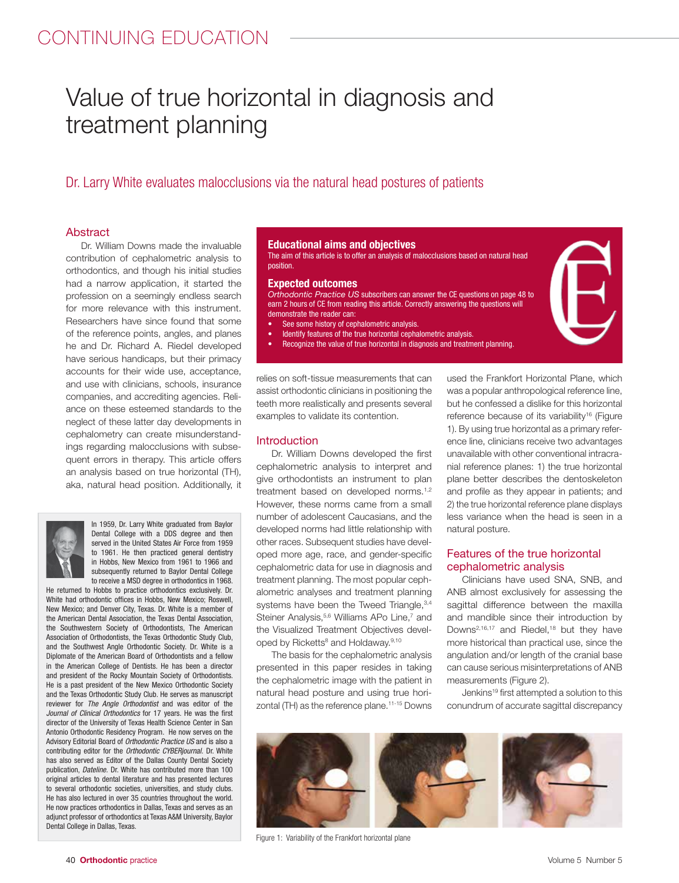# CONTINUING EDUCATION

# Value of true horizontal in diagnosis and treatment planning

Dr. Larry White evaluates malocclusions via the natural head postures of patients

## **Abstract**

Dr. William Downs made the invaluable contribution of cephalometric analysis to orthodontics, and though his initial studies had a narrow application, it started the profession on a seemingly endless search for more relevance with this instrument. Researchers have since found that some of the reference points, angles, and planes he and Dr. Richard A. Riedel developed have serious handicaps, but their primacy accounts for their wide use, acceptance, and use with clinicians, schools, insurance companies, and accrediting agencies. Reliance on these esteemed standards to the neglect of these latter day developments in cephalometry can create misunderstandings regarding malocclusions with subsequent errors in therapy. This article offers an analysis based on true horizontal (TH), aka, natural head position. Additionally, it



In 1959, Dr. Larry White graduated from Baylor Dental College with a DDS degree and then served in the United States Air Force from 1959 to 1961. He then practiced general dentistry in Hobbs, New Mexico from 1961 to 1966 and subsequently returned to Baylor Dental College to receive a MSD degree in orthodontics in 1968.

He returned to Hobbs to practice orthodontics exclusively. Dr. White had orthodontic offices in Hobbs, New Mexico; Roswell, New Mexico; and Denver City, Texas. Dr. White is a member of the American Dental Association, the Texas Dental Association, the Southwestern Society of Orthodontists, The American Association of Orthodontists, the Texas Orthodontic Study Club, and the Southwest Angle Orthodontic Society. Dr. White is a Diplomate of the American Board of Orthodontists and a fellow in the American College of Dentists. He has been a director and president of the Rocky Mountain Society of Orthodontists. He is a past president of the New Mexico Orthodontic Society and the Texas Orthodontic Study Club. He serves as manuscript reviewer for *The Angle Orthodontist* and was editor of the *Journal of Clinical Orthodontics* for 17 years. He was the first director of the University of Texas Health Science Center in San Antonio Orthodontic Residency Program. He now serves on the Advisory Editorial Board of *Orthodontic Practice US* and is also a contributing editor for the *Orthodontic CYBERjournal.* Dr. White has also served as Editor of the Dallas County Dental Society publication, *Dateline.* Dr. White has contributed more than 100 original articles to dental literature and has presented lectures to several orthodontic societies, universities, and study clubs. He has also lectured in over 35 countries throughout the world. He now practices orthodontics in Dallas, Texas and serves as an adjunct professor of orthodontics at Texas A&M University, Baylor Dental College in Dallas, Texas.

### **Educational aims and objectives**

The aim of this article is to offer an analysis of malocclusions based on natural head position.

#### **Expected outcomes**

*Orthodontic Practice US* subscribers can answer the CE questions on page 48 to earn 2 hours of CE from reading this article. Correctly answering the questions will demonstrate the reader can:

- See some history of cephalometric analysis.
- Identify features of the true horizontal cephalometric analysis.
- Recognize the value of true horizontal in diagnosis and treatment planning.

relies on soft-tissue measurements that can assist orthodontic clinicians in positioning the teeth more realistically and presents several examples to validate its contention.

### **Introduction**

Dr. William Downs developed the first cephalometric analysis to interpret and give orthodontists an instrument to plan treatment based on developed norms.<sup>1,2</sup> However, these norms came from a small number of adolescent Caucasians, and the developed norms had little relationship with other races. Subsequent studies have developed more age, race, and gender-specific cephalometric data for use in diagnosis and treatment planning. The most popular cephalometric analyses and treatment planning systems have been the Tweed Triangle, 3,4 Steiner Analysis,<sup>5,6</sup> Williams APo Line,<sup>7</sup> and the Visualized Treatment Objectives developed by Ricketts<sup>8</sup> and Holdaway.<sup>9,10</sup>

The basis for the cephalometric analysis presented in this paper resides in taking the cephalometric image with the patient in natural head posture and using true horizontal (TH) as the reference plane.<sup>11-15</sup> Downs

used the Frankfort Horizontal Plane, which was a popular anthropological reference line, but he confessed a dislike for this horizontal reference because of its variability<sup>16</sup> (Figure 1). By using true horizontal as a primary reference line, clinicians receive two advantages unavailable with other conventional intracranial reference planes: 1) the true horizontal plane better describes the dentoskeleton and profile as they appear in patients; and 2) the true horizontal reference plane displays less variance when the head is seen in a natural posture.

# Features of the true horizontal cephalometric analysis

Clinicians have used SNA, SNB, and ANB almost exclusively for assessing the sagittal difference between the maxilla and mandible since their introduction by Downs<sup>2,16,17</sup> and Riedel,<sup>18</sup> but they have more historical than practical use, since the angulation and/or length of the cranial base can cause serious misinterpretations of ANB measurements (Figure 2).

Jenkins19 first attempted a solution to this conundrum of accurate sagittal discrepancy



Figure 1: Variability of the Frankfort horizontal plane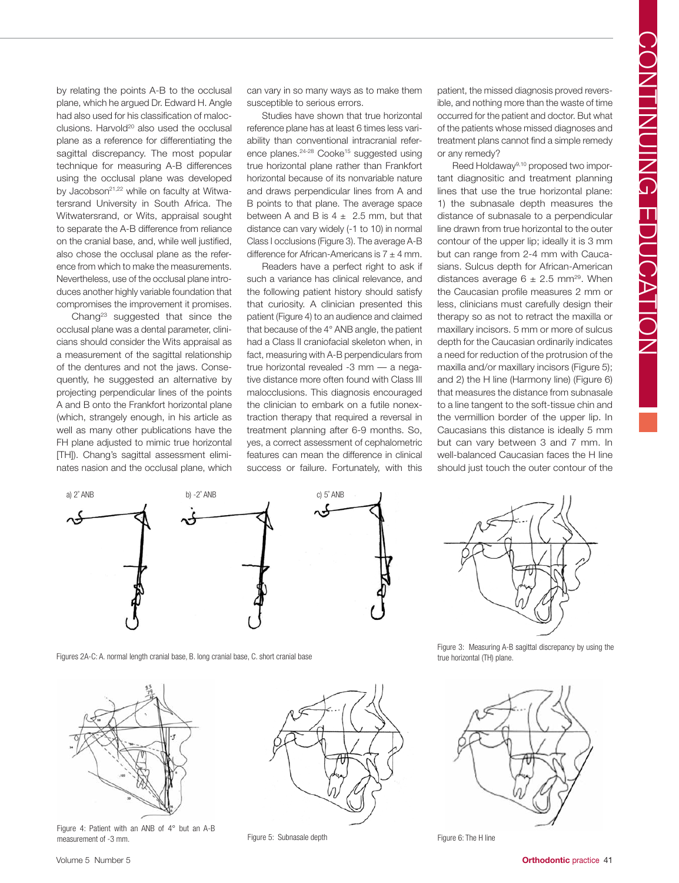by relating the points A-B to the occlusal plane, which he argued Dr. Edward H. Angle had also used for his classification of malocclusions. Harvold<sup>20</sup> also used the occlusal plane as a reference for differentiating the sagittal discrepancy. The most popular technique for measuring A-B differences using the occlusal plane was developed by Jacobson<sup>21,22</sup> while on faculty at Witwatersrand University in South Africa. The Witwatersrand, or Wits, appraisal sought to separate the A-B difference from reliance on the cranial base, and, while well justified, also chose the occlusal plane as the reference from which to make the measurements. Nevertheless, use of the occlusal plane introduces another highly variable foundation that compromises the improvement it promises.

Chang<sup>23</sup> suggested that since the occlusal plane was a dental parameter, clinicians should consider the Wits appraisal as a measurement of the sagittal relationship of the dentures and not the jaws. Consequently, he suggested an alternative by projecting perpendicular lines of the points A and B onto the Frankfort horizontal plane (which, strangely enough, in his article as well as many other publications have the FH plane adjusted to mimic true horizontal [TH]). Chang's sagittal assessment eliminates nasion and the occlusal plane, which

can vary in so many ways as to make them susceptible to serious errors.

Studies have shown that true horizontal reference plane has at least 6 times less variability than conventional intracranial reference planes.<sup>24-28</sup> Cooke<sup>15</sup> suggested using true horizontal plane rather than Frankfort horizontal because of its nonvariable nature and draws perpendicular lines from A and B points to that plane. The average space between A and B is  $4 \pm 2.5$  mm, but that distance can vary widely (-1 to 10) in normal Class I occlusions (Figure 3). The average A-B difference for African-Americans is  $7 \pm 4$  mm.

Readers have a perfect right to ask if such a variance has clinical relevance, and the following patient history should satisfy that curiosity. A clinician presented this patient (Figure 4) to an audience and claimed that because of the 4° ANB angle, the patient had a Class II craniofacial skeleton when, in fact, measuring with A-B perpendiculars from true horizontal revealed -3 mm — a negative distance more often found with Class III malocclusions. This diagnosis encouraged the clinician to embark on a futile nonextraction therapy that required a reversal in treatment planning after 6-9 months. So, yes, a correct assessment of cephalometric features can mean the difference in clinical success or failure. Fortunately, with this

patient, the missed diagnosis proved reversible, and nothing more than the waste of time occurred for the patient and doctor. But what of the patients whose missed diagnoses and treatment plans cannot find a simple remedy or any remedy?

Reed Holdaway9,10 proposed two important diagnositic and treatment planning lines that use the true horizontal plane: 1) the subnasale depth measures the distance of subnasale to a perpendicular line drawn from true horizontal to the outer contour of the upper lip; ideally it is 3 mm but can range from 2-4 mm with Caucasians. Sulcus depth for African-American distances average  $6 \pm 2.5$  mm<sup>29</sup>. When the Caucasian profile measures 2 mm or less, clinicians must carefully design their therapy so as not to retract the maxilla or maxillary incisors. 5 mm or more of sulcus depth for the Caucasian ordinarily indicates a need for reduction of the protrusion of the maxilla and/or maxillary incisors (Figure 5); and 2) the H line (Harmony line) (Figure 6) that measures the distance from subnasale to a line tangent to the soft-tissue chin and the vermillion border of the upper lip. In Caucasians this distance is ideally 5 mm but can vary between 3 and 7 mm. In well-balanced Caucasian faces the H line should just touch the outer contour of the



Figures 2A-C: A. normal length cranial base, B. long cranial base, C. short cranial base



Figure 4: Patient with an ANB of 4° but an A-B measurement of -3 mm. The H line S: The H line S: The H line S: The H line S: The H line S: The H line





Figure 3: Measuring A-B sagittal discrepancy by using the true horizontal (TH) plane.

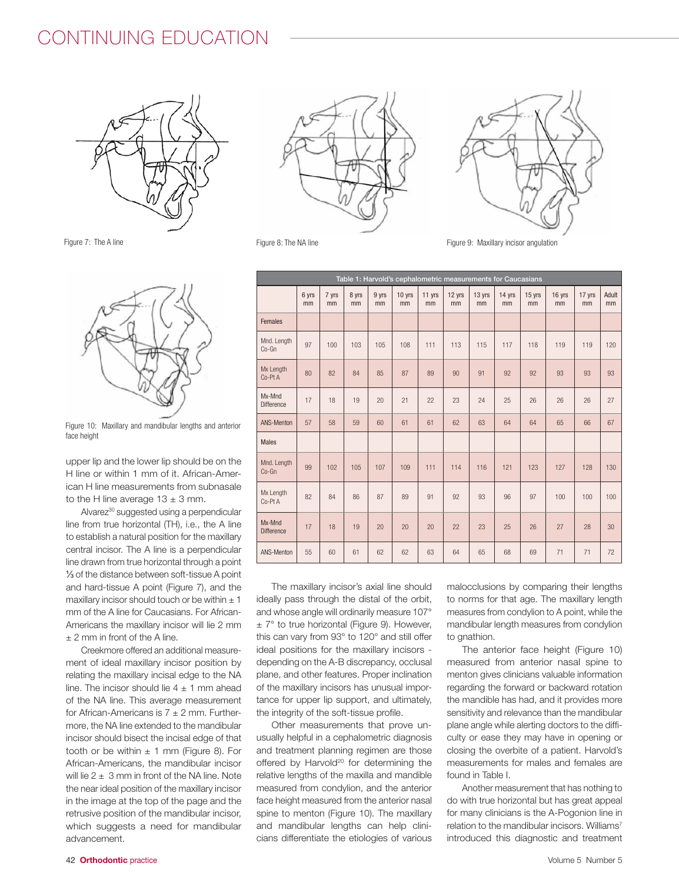# CONTINUING EDUCATION



Figure 7: The A line



Figure 10: Maxillary and mandibular lengths and anterior face height

upper lip and the lower lip should be on the H line or within 1 mm of it. African-American H line measurements from subnasale to the H line average  $13 \pm 3$  mm.

Alvarez<sup>30</sup> suggested using a perpendicular line from true horizontal (TH), i.e., the A line to establish a natural position for the maxillary central incisor. The A line is a perpendicular line drawn from true horizontal through a point ⅓ of the distance between soft-tissue A point and hard-tissue A point (Figure 7), and the maxillary incisor should touch or be within  $\pm 1$ mm of the A line for Caucasians. For African-Americans the maxillary incisor will lie 2 mm ± 2 mm in front of the A line.

Creekmore offered an additional measurement of ideal maxillary incisor position by relating the maxillary incisal edge to the NA line. The incisor should lie  $4 \pm 1$  mm ahead of the NA line. This average measurement for African-Americans is  $7 \pm 2$  mm. Furthermore, the NA line extended to the mandibular incisor should bisect the incisal edge of that tooth or be within  $\pm$  1 mm (Figure 8). For African-Americans, the mandibular incisor will lie  $2 \pm 3$  mm in front of the NA line. Note the near ideal position of the maxillary incisor in the image at the top of the page and the retrusive position of the mandibular incisor, which suggests a need for mandibular advancement.





Figure 8: The NA line **Figure 9: Maxillary incisor angulation** 

| Table 1: Harvold's cephalometric measurements for Caucasians |             |             |             |             |              |              |              |              |              |              |              |              |             |
|--------------------------------------------------------------|-------------|-------------|-------------|-------------|--------------|--------------|--------------|--------------|--------------|--------------|--------------|--------------|-------------|
|                                                              | 6 yrs<br>mm | 7 yrs<br>mm | 8 yrs<br>mm | 9 yrs<br>mm | 10 yrs<br>mm | 11 yrs<br>mm | 12 yrs<br>mm | 13 yrs<br>mm | 14 yrs<br>mm | 15 yrs<br>mm | 16 yrs<br>mm | 17 yrs<br>mm | Adult<br>mm |
| <b>Females</b>                                               |             |             |             |             |              |              |              |              |              |              |              |              |             |
| Mnd. Length<br>Co-Gn                                         | 97          | 100         | 103         | 105         | 108          | 111          | 113          | 115          | 117          | 118          | 119          | 119          | 120         |
| Mx Length<br>Co-Pt A                                         | 80          | 82          | 84          | 85          | 87           | 89           | 90           | 91           | 92           | 92           | 93           | 93           | 93          |
| Mx-Mnd<br><b>Difference</b>                                  | 17          | 18          | 19          | 20          | 21           | 22           | 23           | 24           | 25           | 26           | 26           | 26           | 27          |
| ANS-Menton                                                   | 57          | 58          | 59          | 60          | 61           | 61           | 62           | 63           | 64           | 64           | 65           | 66           | 67          |
| <b>Males</b>                                                 |             |             |             |             |              |              |              |              |              |              |              |              |             |
| Mnd. Length<br>Co-Gn                                         | 99          | 102         | 105         | 107         | 109          | 111          | 114          | 116          | 121          | 123          | 127          | 128          | 130         |
| Mx Length<br>Co-Pt A                                         | 82          | 84          | 86          | 87          | 89           | 91           | 92           | 93           | 96           | 97           | 100          | 100          | 100         |
| Mx-Mnd<br><b>Difference</b>                                  | 17          | 18          | 19          | 20          | 20           | 20           | 22           | 23           | 25           | 26           | 27           | 28           | 30          |
| ANS-Menton                                                   | 55          | 60          | 61          | 62          | 62           | 63           | 64           | 65           | 68           | 69           | 71           | 71           | 72          |

The maxillary incisor's axial line should ideally pass through the distal of the orbit, and whose angle will ordinarily measure 107°  $\pm$  7° to true horizontal (Figure 9). However, this can vary from 93° to 120° and still offer ideal positions for the maxillary incisors depending on the A-B discrepancy, occlusal plane, and other features. Proper inclination of the maxillary incisors has unusual importance for upper lip support, and ultimately, the integrity of the soft-tissue profile.

Other measurements that prove unusually helpful in a cephalometric diagnosis and treatment planning regimen are those offered by Harvold<sup>20</sup> for determining the relative lengths of the maxilla and mandible measured from condylion, and the anterior face height measured from the anterior nasal spine to menton (Figure 10). The maxillary and mandibular lengths can help clinicians differentiate the etiologies of various

malocclusions by comparing their lengths to norms for that age. The maxillary length measures from condylion to A point, while the mandibular length measures from condylion to gnathion.

The anterior face height (Figure 10) measured from anterior nasal spine to menton gives clinicians valuable information regarding the forward or backward rotation the mandible has had, and it provides more sensitivity and relevance than the mandibular plane angle while alerting doctors to the difficulty or ease they may have in opening or closing the overbite of a patient. Harvold's measurements for males and females are found in Table I.

Another measurement that has nothing to do with true horizontal but has great appeal for many clinicians is the A-Pogonion line in relation to the mandibular incisors. Williams<sup>7</sup> introduced this diagnostic and treatment

#### 42 **Orthodontic** practice Volume 5 Number 5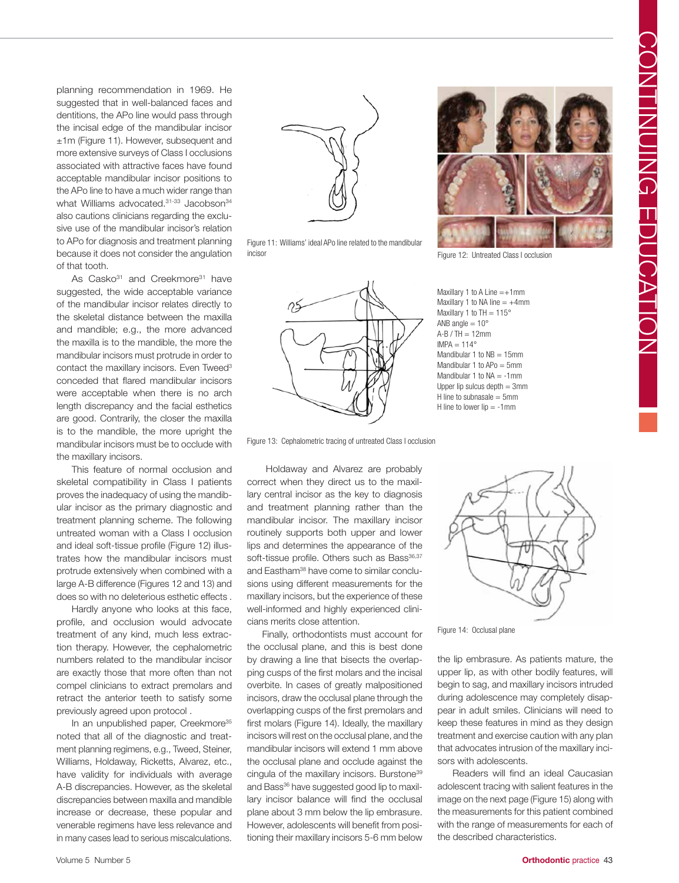planning recommendation in 1969. He suggested that in well-balanced faces and dentitions, the APo line would pass through the incisal edge of the mandibular incisor ±1m (Figure 11). However, subsequent and more extensive surveys of Class I occlusions associated with attractive faces have found acceptable mandibular incisor positions to the APo line to have a much wider range than what Williams advocated.<sup>31-33</sup> Jacobson<sup>34</sup> also cautions clinicians regarding the exclusive use of the mandibular incisor's relation to APo for diagnosis and treatment planning because it does not consider the angulation of that tooth.

As Casko<sup>31</sup> and Creekmore<sup>31</sup> have suggested, the wide acceptable variance of the mandibular incisor relates directly to the skeletal distance between the maxilla and mandible; e.g., the more advanced the maxilla is to the mandible, the more the mandibular incisors must protrude in order to contact the maxillary incisors. Even Tweed<sup>3</sup> conceded that flared mandibular incisors were acceptable when there is no arch length discrepancy and the facial esthetics are good. Contrarily, the closer the maxilla is to the mandible, the more upright the mandibular incisors must be to occlude with the maxillary incisors.

This feature of normal occlusion and skeletal compatibility in Class I patients proves the inadequacy of using the mandibular incisor as the primary diagnostic and treatment planning scheme. The following untreated woman with a Class I occlusion and ideal soft-tissue profile (Figure 12) illustrates how the mandibular incisors must protrude extensively when combined with a large A-B difference (Figures 12 and 13) and does so with no deleterious esthetic effects .

Hardly anyone who looks at this face, profile, and occlusion would advocate treatment of any kind, much less extraction therapy. However, the cephalometric numbers related to the mandibular incisor are exactly those that more often than not compel clinicians to extract premolars and retract the anterior teeth to satisfy some previously agreed upon protocol .

In an unpublished paper, Creekmore<sup>35</sup> noted that all of the diagnostic and treatment planning regimens, e.g., Tweed, Steiner, Williams, Holdaway, Ricketts, Alvarez, etc., have validity for individuals with average A-B discrepancies. However, as the skeletal discrepancies between maxilla and mandible increase or decrease, these popular and venerable regimens have less relevance and in many cases lead to serious miscalculations.



Figure 11: Williams' ideal APo line related to the mandibular incisor **Figure 12: Untreated Class I occlusion** 





Maxillary 1 to A Line  $=+1$ mm Maxillary 1 to NA line  $= +4$ mm Maxillary 1 to TH =  $115^\circ$ ANB angle  $= 10^{\circ}$  $A-B / TH = 12$ mm  $IMPA = 114^{\circ}$ Mandibular 1 to  $NB = 15$ mm Mandibular 1 to  $APo = 5$ mm Mandibular 1 to  $NA = -1$ mm Upper lip sulcus depth  $= 3$ mm H line to subnasale  $= 5$ mm H line to lower lip  $= -1$ mm

Figure 13: Cephalometric tracing of untreated Class I occlusion

Holdaway and Alvarez are probably correct when they direct us to the maxillary central incisor as the key to diagnosis and treatment planning rather than the mandibular incisor. The maxillary incisor routinely supports both upper and lower lips and determines the appearance of the soft-tissue profile. Others such as Bass<sup>36,37</sup> and Eastham<sup>38</sup> have come to similar conclusions using different measurements for the maxillary incisors, but the experience of these well-informed and highly experienced clinicians merits close attention.

Finally, orthodontists must account for the occlusal plane, and this is best done by drawing a line that bisects the overlapping cusps of the first molars and the incisal overbite. In cases of greatly malpositioned incisors, draw the occlusal plane through the overlapping cusps of the first premolars and first molars (Figure 14). Ideally, the maxillary incisors will rest on the occlusal plane, and the mandibular incisors will extend 1 mm above the occlusal plane and occlude against the cingula of the maxillary incisors. Burstone<sup>39</sup> and Bass<sup>36</sup> have suggested good lip to maxillary incisor balance will find the occlusal plane about 3 mm below the lip embrasure. However, adolescents will benefit from positioning their maxillary incisors 5-6 mm below



Figure 14: Occlusal plane

the lip embrasure. As patients mature, the upper lip, as with other bodily features, will begin to sag, and maxillary incisors intruded during adolescence may completely disappear in adult smiles. Clinicians will need to keep these features in mind as they design treatment and exercise caution with any plan that advocates intrusion of the maxillary incisors with adolescents.

Readers will find an ideal Caucasian adolescent tracing with salient features in the image on the next page (Figure 15) along with the measurements for this patient combined with the range of measurements for each of the described characteristics.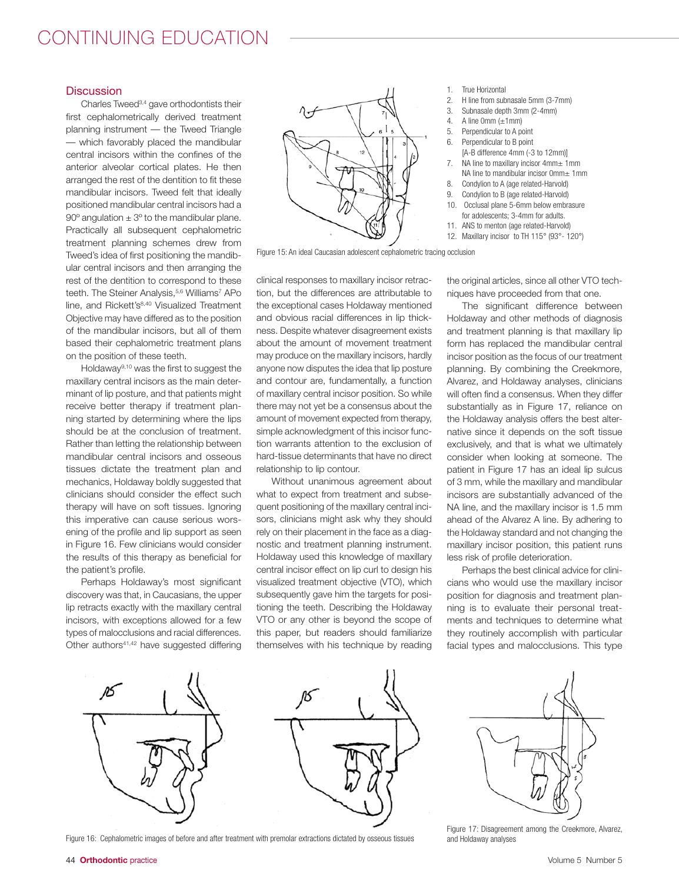# CONTINUING EDUCATION

### **Discussion**

Charles Tweed3,4 gave orthodontists their first cephalometrically derived treatment planning instrument — the Tweed Triangle — which favorably placed the mandibular central incisors within the confines of the anterior alveolar cortical plates. He then arranged the rest of the dentition to fit these mandibular incisors. Tweed felt that ideally positioned mandibular central incisors had a 90 $\degree$  angulation  $\pm$  3 $\degree$  to the mandibular plane. Practically all subsequent cephalometric treatment planning schemes drew from Tweed's idea of first positioning the mandibular central incisors and then arranging the rest of the dentition to correspond to these teeth. The Steiner Analysis,<sup>5,6</sup> Williams<sup>7</sup> APo line, and Rickett's<sup>8,40</sup> Visualized Treatment Objective may have differed as to the position of the mandibular incisors, but all of them based their cephalometric treatment plans on the position of these teeth.

Holdaway9,10 was the first to suggest the maxillary central incisors as the main determinant of lip posture, and that patients might receive better therapy if treatment planning started by determining where the lips should be at the conclusion of treatment. Rather than letting the relationship between mandibular central incisors and osseous tissues dictate the treatment plan and mechanics, Holdaway boldly suggested that clinicians should consider the effect such therapy will have on soft tissues. Ignoring this imperative can cause serious worsening of the profile and lip support as seen in Figure 16. Few clinicians would consider the results of this therapy as beneficial for the patient's profile.

Perhaps Holdaway's most significant discovery was that, in Caucasians, the upper lip retracts exactly with the maxillary central incisors, with exceptions allowed for a few types of malocclusions and racial differences. Other authors<sup>41,42</sup> have suggested differing



Figure 15: An ideal Caucasian adolescent cephalometric tracing occlusion

clinical responses to maxillary incisor retraction, but the differences are attributable to the exceptional cases Holdaway mentioned and obvious racial differences in lip thickness. Despite whatever disagreement exists about the amount of movement treatment may produce on the maxillary incisors, hardly anyone now disputes the idea that lip posture and contour are, fundamentally, a function of maxillary central incisor position. So while there may not yet be a consensus about the amount of movement expected from therapy, simple acknowledgment of this incisor function warrants attention to the exclusion of hard-tissue determinants that have no direct relationship to lip contour.

Without unanimous agreement about what to expect from treatment and subsequent positioning of the maxillary central incisors, clinicians might ask why they should rely on their placement in the face as a diagnostic and treatment planning instrument. Holdaway used this knowledge of maxillary central incisor effect on lip curl to design his visualized treatment objective (VTO), which subsequently gave him the targets for positioning the teeth. Describing the Holdaway VTO or any other is beyond the scope of this paper, but readers should familiarize themselves with his technique by reading

the original articles, since all other VTO techniques have proceeded from that one.

1. True Horizontal<br>2. H line from sub

2. H line from subnasale 5mm (3-7mm)

[A-B difference 4mm (-3 to 12mm)] 7. NA line to maxillary incisor 4mm± 1mm NA line to mandibular incisor 0mm± 1mm 8. Condylion to A (age related-Harvold) 9. Condylion to B (age related-Harvold) 10. Occlusal plane 5-6mm below embrasure for adolescents; 3-4mm for adults. 11. ANS to menton (age related-Harvold) 12. Maxillary incisor to TH 115° (93°- 120°)

3. Subnasale depth 3mm  $(2-4mm)$ <br>4 A line 0mm  $(+1mm)$ A line 0mm  $(\pm 1$ mm) 5. Perpendicular to A point 6. Perpendicular to B point

The significant difference between Holdaway and other methods of diagnosis and treatment planning is that maxillary lip form has replaced the mandibular central incisor position as the focus of our treatment planning. By combining the Creekmore, Alvarez, and Holdaway analyses, clinicians will often find a consensus. When they differ substantially as in Figure 17, reliance on the Holdaway analysis offers the best alternative since it depends on the soft tissue exclusively, and that is what we ultimately consider when looking at someone. The patient in Figure 17 has an ideal lip sulcus of 3 mm, while the maxillary and mandibular incisors are substantially advanced of the NA line, and the maxillary incisor is 1.5 mm ahead of the Alvarez A line. By adhering to the Holdaway standard and not changing the maxillary incisor position, this patient runs less risk of profile deterioration.

Perhaps the best clinical advice for clinicians who would use the maxillary incisor position for diagnosis and treatment planning is to evaluate their personal treatments and techniques to determine what they routinely accomplish with particular facial types and malocclusions. This type



Figure 16: Cephalometric images of before and after treatment with premolar extractions dictated by osseous tissues

Figure 17: Disagreement among the Creekmore, Alvarez, and Holdaway analyses